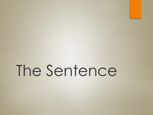The Sentence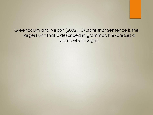Greenbaum and Nelson (2002: 13) state that Sentence is the largest unit that is described in grammar. It expresses a complete thought.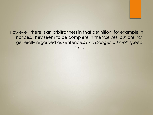However, there is an arbitrariness in that definition, for example in notices. They seem to be complete in themselves, but are not generally regarded as sentences: *Exit, Danger, 50 mph speed limit*.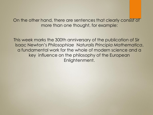On the other hand, there are sentences that clearly consist of more than one thought, for example:

This week marks the 300th anniversary of the publication of Sir Isaac Newton's *Philosophiae* N*aturalis Principia Mathematica*, a fundamental work for the whole of modern science and a key influence on the philosophy of the European Enlightenment.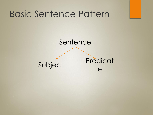### Basic Sentence Pattern

### Sentence

Subject Predicat e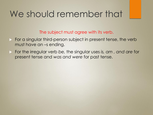## We should remember that

The subject must agree with its verb.

- For a singular third-person subject in present tense, the verb must have an –s ending.
- For the irregular verb *be,* the singular uses *is, am , and are* for present tense and *was and were* for past tense.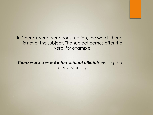In 'there + verb' verb construction, the word 'there' is never the subject. The subject comes after the verb, for example:

*There were* several *international officials* visiting the city yesterday.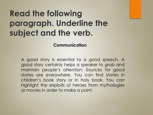## **Read the following paragraph. Underline the subject and the verb.**

#### **Communication**

A good story is essential to a good speech. A good story certainly helps a speaker to grab and maintain people's attention. Sources for good stories are everywhere. You can find stories in children's book story or in holy book. You can highlight the exploits of heroes from mythologies or movies in order to make a point.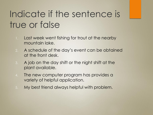# Indicate if the sentence is true or false

- 1. Last week went fishing for trout at the nearby mountain lake.
- 2. A schedule of the day's event can be obtained at the front desk.
- 3. A job on the day shift or the night shift at the plant available.
- 4. The new computer program has provides a variety of helpful application.
- 5. My best friend always helpful with problem.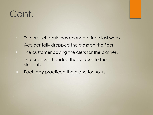# Cont.

- 6. The bus schedule has changed since last week.
- 7. Accidentally dropped the glass on the floor
- 8. The customer paying the clerk for the clothes.
- 9. The professor handed the syllabus to the students.
- 10. Each day practiced the piano for hours.